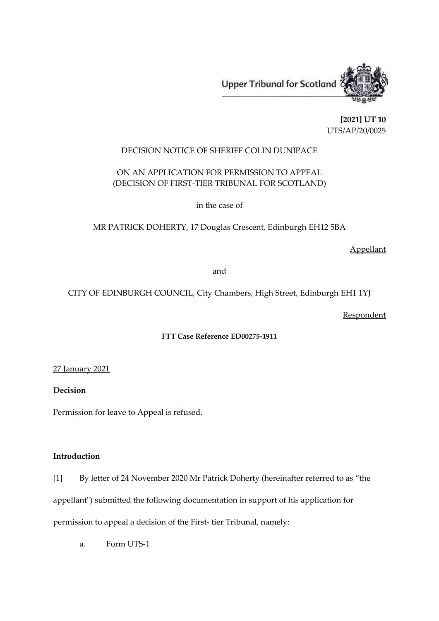

**[2021] UT 10** UTS/AP/20/0025

## DECISION NOTICE OF SHERIFF COLIN DUNIPACE

# ON AN APPLICATION FOR PERMISSION TO APPEAL (DECISION OF FIRST-TIER TRIBUNAL FOR SCOTLAND)

in the case of

MR PATRICK DOHERTY, 17 Douglas Crescent, Edinburgh EH12 5BA

Appellant

and

# CITY OF EDINBURGH COUNCIL, City Chambers, High Street, Edinburgh EH1 1YJ

**Respondent** 

# **FTT Case Reference ED00275-1911**

27 January 2021

**Decision**

Permission for leave to Appeal is refused.

# **Introduction**

[1] By letter of 24 November 2020 Mr Patrick Doherty (hereinafter referred to as "the

appellant") submitted the following documentation in support of his application for

permission to appeal a decision of the First- tier Tribunal, namely:

a. Form UTS-1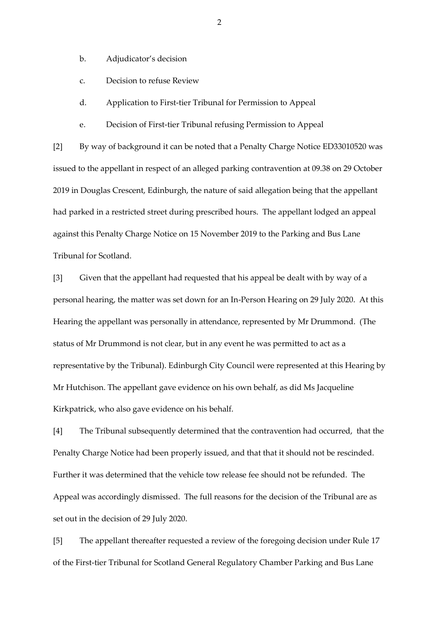- b. Adjudicator's decision
- c. Decision to refuse Review
- d. Application to First-tier Tribunal for Permission to Appeal
- e. Decision of First-tier Tribunal refusing Permission to Appeal

[2] By way of background it can be noted that a Penalty Charge Notice ED33010520 was issued to the appellant in respect of an alleged parking contravention at 09.38 on 29 October 2019 in Douglas Crescent, Edinburgh, the nature of said allegation being that the appellant had parked in a restricted street during prescribed hours. The appellant lodged an appeal against this Penalty Charge Notice on 15 November 2019 to the Parking and Bus Lane Tribunal for Scotland.

[3] Given that the appellant had requested that his appeal be dealt with by way of a personal hearing, the matter was set down for an In-Person Hearing on 29 July 2020. At this Hearing the appellant was personally in attendance, represented by Mr Drummond. (The status of Mr Drummond is not clear, but in any event he was permitted to act as a representative by the Tribunal). Edinburgh City Council were represented at this Hearing by Mr Hutchison. The appellant gave evidence on his own behalf, as did Ms Jacqueline Kirkpatrick, who also gave evidence on his behalf.

[4] The Tribunal subsequently determined that the contravention had occurred, that the Penalty Charge Notice had been properly issued, and that that it should not be rescinded. Further it was determined that the vehicle tow release fee should not be refunded. The Appeal was accordingly dismissed. The full reasons for the decision of the Tribunal are as set out in the decision of 29 July 2020.

[5] The appellant thereafter requested a review of the foregoing decision under Rule 17 of the First-tier Tribunal for Scotland General Regulatory Chamber Parking and Bus Lane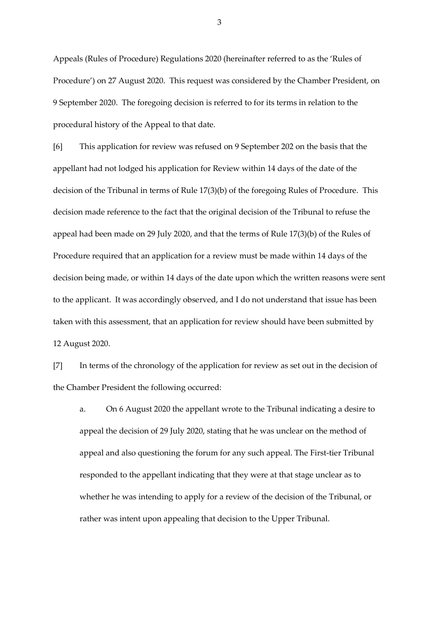Appeals (Rules of Procedure) Regulations 2020 (hereinafter referred to as the 'Rules of Procedure') on 27 August 2020. This request was considered by the Chamber President, on 9 September 2020. The foregoing decision is referred to for its terms in relation to the procedural history of the Appeal to that date.

[6] This application for review was refused on 9 September 202 on the basis that the appellant had not lodged his application for Review within 14 days of the date of the decision of the Tribunal in terms of Rule 17(3)(b) of the foregoing Rules of Procedure. This decision made reference to the fact that the original decision of the Tribunal to refuse the appeal had been made on 29 July 2020, and that the terms of Rule 17(3)(b) of the Rules of Procedure required that an application for a review must be made within 14 days of the decision being made, or within 14 days of the date upon which the written reasons were sent to the applicant. It was accordingly observed, and I do not understand that issue has been taken with this assessment, that an application for review should have been submitted by 12 August 2020.

[7] In terms of the chronology of the application for review as set out in the decision of the Chamber President the following occurred:

a. On 6 August 2020 the appellant wrote to the Tribunal indicating a desire to appeal the decision of 29 July 2020, stating that he was unclear on the method of appeal and also questioning the forum for any such appeal. The First-tier Tribunal responded to the appellant indicating that they were at that stage unclear as to whether he was intending to apply for a review of the decision of the Tribunal, or rather was intent upon appealing that decision to the Upper Tribunal.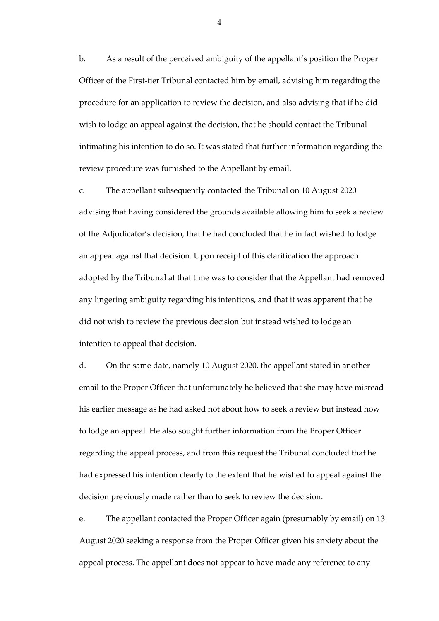b. As a result of the perceived ambiguity of the appellant's position the Proper Officer of the First-tier Tribunal contacted him by email, advising him regarding the procedure for an application to review the decision, and also advising that if he did wish to lodge an appeal against the decision, that he should contact the Tribunal intimating his intention to do so. It was stated that further information regarding the review procedure was furnished to the Appellant by email.

c. The appellant subsequently contacted the Tribunal on 10 August 2020 advising that having considered the grounds available allowing him to seek a review of the Adjudicator's decision, that he had concluded that he in fact wished to lodge an appeal against that decision. Upon receipt of this clarification the approach adopted by the Tribunal at that time was to consider that the Appellant had removed any lingering ambiguity regarding his intentions, and that it was apparent that he did not wish to review the previous decision but instead wished to lodge an intention to appeal that decision.

d. On the same date, namely 10 August 2020, the appellant stated in another email to the Proper Officer that unfortunately he believed that she may have misread his earlier message as he had asked not about how to seek a review but instead how to lodge an appeal. He also sought further information from the Proper Officer regarding the appeal process, and from this request the Tribunal concluded that he had expressed his intention clearly to the extent that he wished to appeal against the decision previously made rather than to seek to review the decision.

e. The appellant contacted the Proper Officer again (presumably by email) on 13 August 2020 seeking a response from the Proper Officer given his anxiety about the appeal process. The appellant does not appear to have made any reference to any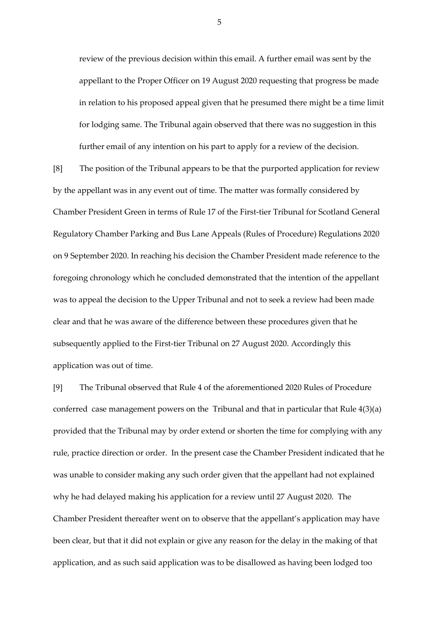review of the previous decision within this email. A further email was sent by the appellant to the Proper Officer on 19 August 2020 requesting that progress be made in relation to his proposed appeal given that he presumed there might be a time limit for lodging same. The Tribunal again observed that there was no suggestion in this further email of any intention on his part to apply for a review of the decision.

[8] The position of the Tribunal appears to be that the purported application for review by the appellant was in any event out of time. The matter was formally considered by Chamber President Green in terms of Rule 17 of the First-tier Tribunal for Scotland General Regulatory Chamber Parking and Bus Lane Appeals (Rules of Procedure) Regulations 2020 on 9 September 2020. In reaching his decision the Chamber President made reference to the foregoing chronology which he concluded demonstrated that the intention of the appellant was to appeal the decision to the Upper Tribunal and not to seek a review had been made clear and that he was aware of the difference between these procedures given that he subsequently applied to the First-tier Tribunal on 27 August 2020. Accordingly this application was out of time.

[9] The Tribunal observed that Rule 4 of the aforementioned 2020 Rules of Procedure conferred case management powers on the Tribunal and that in particular that Rule 4(3)(a) provided that the Tribunal may by order extend or shorten the time for complying with any rule, practice direction or order. In the present case the Chamber President indicated that he was unable to consider making any such order given that the appellant had not explained why he had delayed making his application for a review until 27 August 2020. The Chamber President thereafter went on to observe that the appellant's application may have been clear, but that it did not explain or give any reason for the delay in the making of that application, and as such said application was to be disallowed as having been lodged too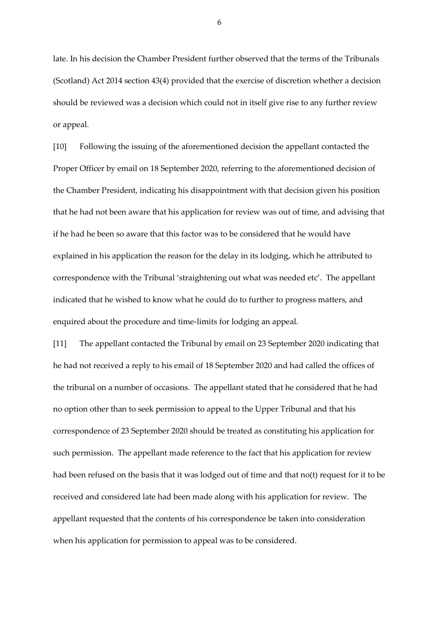late. In his decision the Chamber President further observed that the terms of the Tribunals (Scotland) Act 2014 section 43(4) provided that the exercise of discretion whether a decision should be reviewed was a decision which could not in itself give rise to any further review or appeal.

[10] Following the issuing of the aforementioned decision the appellant contacted the Proper Officer by email on 18 September 2020, referring to the aforementioned decision of the Chamber President, indicating his disappointment with that decision given his position that he had not been aware that his application for review was out of time, and advising that if he had he been so aware that this factor was to be considered that he would have explained in his application the reason for the delay in its lodging, which he attributed to correspondence with the Tribunal 'straightening out what was needed etc'. The appellant indicated that he wished to know what he could do to further to progress matters, and enquired about the procedure and time-limits for lodging an appeal.

[11] The appellant contacted the Tribunal by email on 23 September 2020 indicating that he had not received a reply to his email of 18 September 2020 and had called the offices of the tribunal on a number of occasions. The appellant stated that he considered that he had no option other than to seek permission to appeal to the Upper Tribunal and that his correspondence of 23 September 2020 should be treated as constituting his application for such permission. The appellant made reference to the fact that his application for review had been refused on the basis that it was lodged out of time and that no(t) request for it to be received and considered late had been made along with his application for review. The appellant requested that the contents of his correspondence be taken into consideration when his application for permission to appeal was to be considered.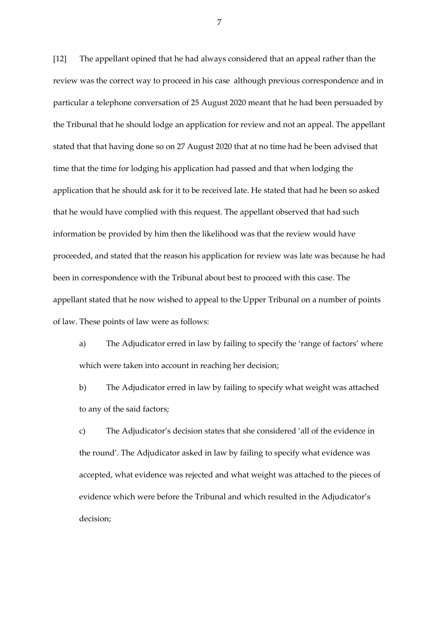[12] The appellant opined that he had always considered that an appeal rather than the review was the correct way to proceed in his case although previous correspondence and in particular a telephone conversation of 25 August 2020 meant that he had been persuaded by the Tribunal that he should lodge an application for review and not an appeal. The appellant stated that that having done so on 27 August 2020 that at no time had he been advised that time that the time for lodging his application had passed and that when lodging the application that he should ask for it to be received late. He stated that had he been so asked that he would have complied with this request. The appellant observed that had such information be provided by him then the likelihood was that the review would have proceeded, and stated that the reason his application for review was late was because he had been in correspondence with the Tribunal about best to proceed with this case. The appellant stated that he now wished to appeal to the Upper Tribunal on a number of points of law. These points of law were as follows:

a) The Adjudicator erred in law by failing to specify the 'range of factors' where which were taken into account in reaching her decision;

b) The Adjudicator erred in law by failing to specify what weight was attached to any of the said factors;

c) The Adjudicator's decision states that she considered 'all of the evidence in the round'. The Adjudicator asked in law by failing to specify what evidence was accepted, what evidence was rejected and what weight was attached to the pieces of evidence which were before the Tribunal and which resulted in the Adjudicator's decision;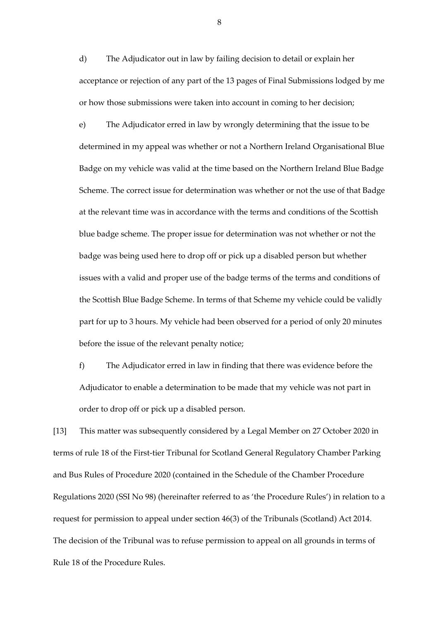d) The Adjudicator out in law by failing decision to detail or explain her acceptance or rejection of any part of the 13 pages of Final Submissions lodged by me or how those submissions were taken into account in coming to her decision;

e) The Adjudicator erred in law by wrongly determining that the issue to be determined in my appeal was whether or not a Northern Ireland Organisational Blue Badge on my vehicle was valid at the time based on the Northern Ireland Blue Badge Scheme. The correct issue for determination was whether or not the use of that Badge at the relevant time was in accordance with the terms and conditions of the Scottish blue badge scheme. The proper issue for determination was not whether or not the badge was being used here to drop off or pick up a disabled person but whether issues with a valid and proper use of the badge terms of the terms and conditions of the Scottish Blue Badge Scheme. In terms of that Scheme my vehicle could be validly part for up to 3 hours. My vehicle had been observed for a period of only 20 minutes before the issue of the relevant penalty notice;

f) The Adjudicator erred in law in finding that there was evidence before the Adjudicator to enable a determination to be made that my vehicle was not part in order to drop off or pick up a disabled person.

[13] This matter was subsequently considered by a Legal Member on 27 October 2020 in terms of rule 18 of the First-tier Tribunal for Scotland General Regulatory Chamber Parking and Bus Rules of Procedure 2020 (contained in the Schedule of the Chamber Procedure Regulations 2020 (SSI No 98) (hereinafter referred to as 'the Procedure Rules') in relation to a request for permission to appeal under section 46(3) of the Tribunals (Scotland) Act 2014. The decision of the Tribunal was to refuse permission to appeal on all grounds in terms of Rule 18 of the Procedure Rules.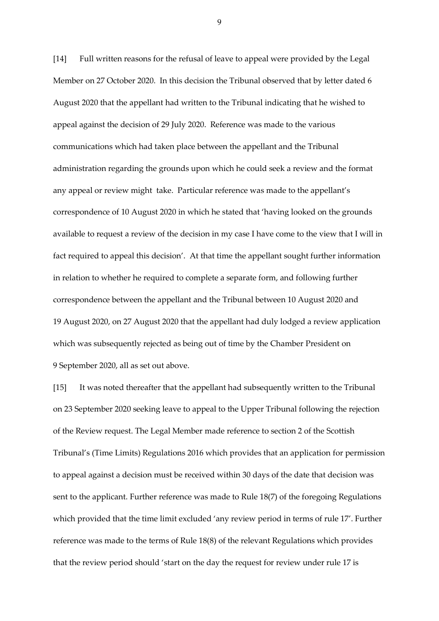[14] Full written reasons for the refusal of leave to appeal were provided by the Legal Member on 27 October 2020. In this decision the Tribunal observed that by letter dated 6 August 2020 that the appellant had written to the Tribunal indicating that he wished to appeal against the decision of 29 July 2020. Reference was made to the various communications which had taken place between the appellant and the Tribunal administration regarding the grounds upon which he could seek a review and the format any appeal or review might take. Particular reference was made to the appellant's correspondence of 10 August 2020 in which he stated that 'having looked on the grounds available to request a review of the decision in my case I have come to the view that I will in fact required to appeal this decision'. At that time the appellant sought further information in relation to whether he required to complete a separate form, and following further correspondence between the appellant and the Tribunal between 10 August 2020 and 19 August 2020, on 27 August 2020 that the appellant had duly lodged a review application which was subsequently rejected as being out of time by the Chamber President on 9 September 2020, all as set out above.

[15] It was noted thereafter that the appellant had subsequently written to the Tribunal on 23 September 2020 seeking leave to appeal to the Upper Tribunal following the rejection of the Review request. The Legal Member made reference to section 2 of the Scottish Tribunal's (Time Limits) Regulations 2016 which provides that an application for permission to appeal against a decision must be received within 30 days of the date that decision was sent to the applicant. Further reference was made to Rule 18(7) of the foregoing Regulations which provided that the time limit excluded 'any review period in terms of rule 17'. Further reference was made to the terms of Rule 18(8) of the relevant Regulations which provides that the review period should 'start on the day the request for review under rule 17 is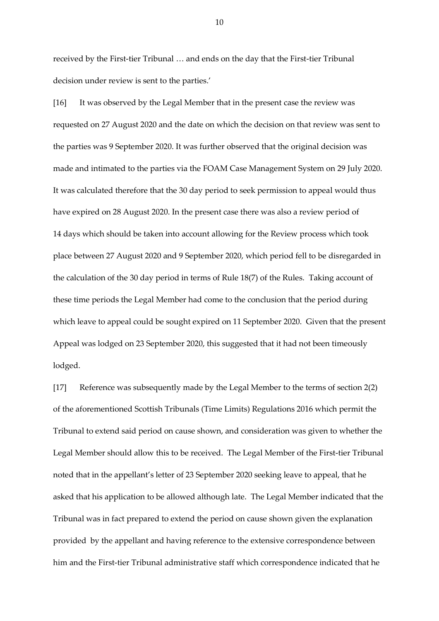received by the First-tier Tribunal … and ends on the day that the First-tier Tribunal decision under review is sent to the parties.'

[16] It was observed by the Legal Member that in the present case the review was requested on 27 August 2020 and the date on which the decision on that review was sent to the parties was 9 September 2020. It was further observed that the original decision was made and intimated to the parties via the FOAM Case Management System on 29 July 2020. It was calculated therefore that the 30 day period to seek permission to appeal would thus have expired on 28 August 2020. In the present case there was also a review period of 14 days which should be taken into account allowing for the Review process which took place between 27 August 2020 and 9 September 2020, which period fell to be disregarded in the calculation of the 30 day period in terms of Rule 18(7) of the Rules. Taking account of these time periods the Legal Member had come to the conclusion that the period during which leave to appeal could be sought expired on 11 September 2020. Given that the present Appeal was lodged on 23 September 2020, this suggested that it had not been timeously lodged.

[17] Reference was subsequently made by the Legal Member to the terms of section 2(2) of the aforementioned Scottish Tribunals (Time Limits) Regulations 2016 which permit the Tribunal to extend said period on cause shown, and consideration was given to whether the Legal Member should allow this to be received. The Legal Member of the First-tier Tribunal noted that in the appellant's letter of 23 September 2020 seeking leave to appeal, that he asked that his application to be allowed although late. The Legal Member indicated that the Tribunal was in fact prepared to extend the period on cause shown given the explanation provided by the appellant and having reference to the extensive correspondence between him and the First-tier Tribunal administrative staff which correspondence indicated that he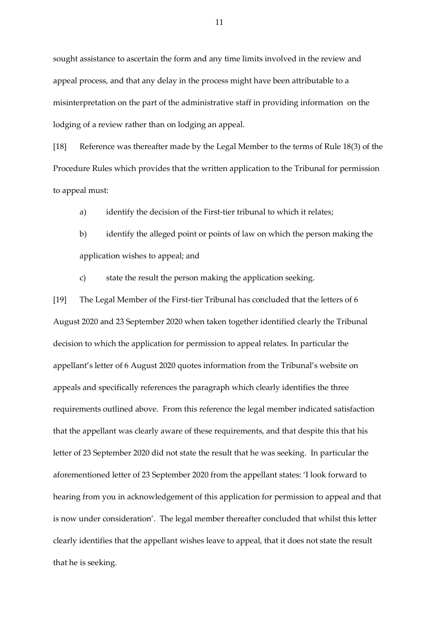sought assistance to ascertain the form and any time limits involved in the review and appeal process, and that any delay in the process might have been attributable to a misinterpretation on the part of the administrative staff in providing information on the lodging of a review rather than on lodging an appeal.

[18] Reference was thereafter made by the Legal Member to the terms of Rule 18(3) of the Procedure Rules which provides that the written application to the Tribunal for permission to appeal must:

a) identify the decision of the First-tier tribunal to which it relates;

b) identify the alleged point or points of law on which the person making the application wishes to appeal; and

c) state the result the person making the application seeking.

[19] The Legal Member of the First-tier Tribunal has concluded that the letters of 6 August 2020 and 23 September 2020 when taken together identified clearly the Tribunal decision to which the application for permission to appeal relates. In particular the appellant's letter of 6 August 2020 quotes information from the Tribunal's website on appeals and specifically references the paragraph which clearly identifies the three requirements outlined above. From this reference the legal member indicated satisfaction that the appellant was clearly aware of these requirements, and that despite this that his letter of 23 September 2020 did not state the result that he was seeking. In particular the aforementioned letter of 23 September 2020 from the appellant states: 'I look forward to hearing from you in acknowledgement of this application for permission to appeal and that is now under consideration'. The legal member thereafter concluded that whilst this letter clearly identifies that the appellant wishes leave to appeal, that it does not state the result that he is seeking.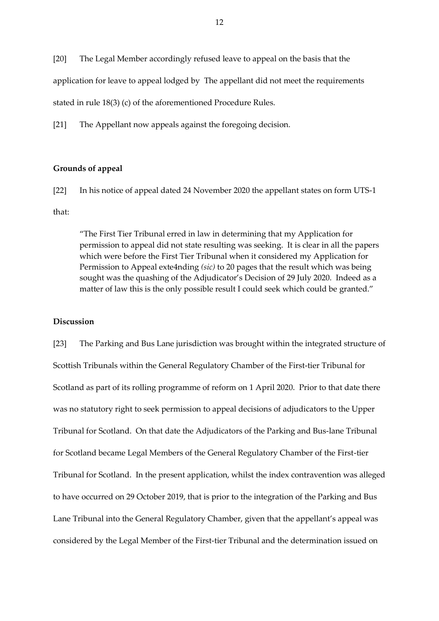[20] The Legal Member accordingly refused leave to appeal on the basis that the

application for leave to appeal lodged by The appellant did not meet the requirements

stated in rule 18(3) (c) of the aforementioned Procedure Rules.

[21] The Appellant now appeals against the foregoing decision.

#### **Grounds of appeal**

[22] In his notice of appeal dated 24 November 2020 the appellant states on form UTS-1

that:

"The First Tier Tribunal erred in law in determining that my Application for permission to appeal did not state resulting was seeking. It is clear in all the papers which were before the First Tier Tribunal when it considered my Application for Permission to Appeal exte4nding *(sic)* to 20 pages that the result which was being sought was the quashing of the Adjudicator's Decision of 29 July 2020. Indeed as a matter of law this is the only possible result I could seek which could be granted."

#### **Discussion**

[23] The Parking and Bus Lane jurisdiction was brought within the integrated structure of Scottish Tribunals within the General Regulatory Chamber of the First-tier Tribunal for Scotland as part of its rolling programme of reform on 1 April 2020. Prior to that date there was no statutory right to seek permission to appeal decisions of adjudicators to the Upper Tribunal for Scotland. On that date the Adjudicators of the Parking and Bus-lane Tribunal for Scotland became Legal Members of the General Regulatory Chamber of the First-tier Tribunal for Scotland. In the present application, whilst the index contravention was alleged to have occurred on 29 October 2019, that is prior to the integration of the Parking and Bus Lane Tribunal into the General Regulatory Chamber, given that the appellant's appeal was considered by the Legal Member of the First-tier Tribunal and the determination issued on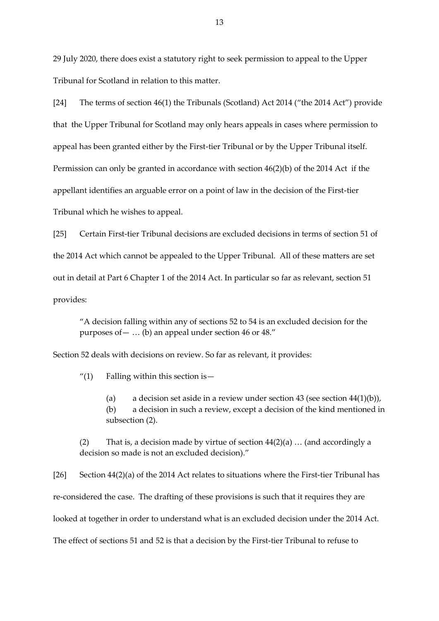29 July 2020, there does exist a statutory right to seek permission to appeal to the Upper Tribunal for Scotland in relation to this matter.

[24] The terms of section 46(1) the Tribunals (Scotland) Act 2014 ("the 2014 Act") provide that the Upper Tribunal for Scotland may only hears appeals in cases where permission to appeal has been granted either by the First-tier Tribunal or by the Upper Tribunal itself. Permission can only be granted in accordance with section 46(2)(b) of the 2014 Act if the appellant identifies an arguable error on a point of law in the decision of the First-tier Tribunal which he wishes to appeal.

[25] Certain First-tier Tribunal decisions are excluded decisions in terms of section 51 of the 2014 Act which cannot be appealed to the Upper Tribunal. All of these matters are set out in detail at Part 6 Chapter 1 of the 2014 Act. In particular so far as relevant, section 51 provides:

"A decision falling within any of sections 52 to 54 is an excluded decision for the purposes of  $-$  ... (b) an appeal under section 46 or 48."

Section 52 deals with decisions on review. So far as relevant, it provides:

"(1) Falling within this section is  $-$ 

(a) a decision set aside in a review under section  $43$  (see section  $44(1)(b)$ ), (b) a decision in such a review, except a decision of the kind mentioned in subsection (2).

(2) That is, a decision made by virtue of section  $44(2)(a)$  ... (and accordingly a decision so made is not an excluded decision)."

[26] Section 44(2)(a) of the 2014 Act relates to situations where the First-tier Tribunal has re-considered the case. The drafting of these provisions is such that it requires they are looked at together in order to understand what is an excluded decision under the 2014 Act. The effect of sections 51 and 52 is that a decision by the First-tier Tribunal to refuse to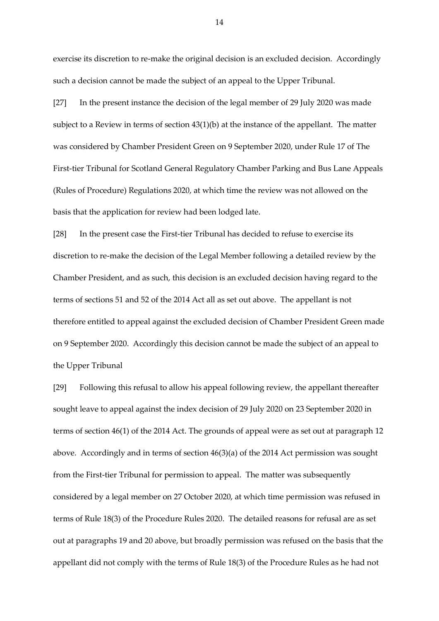exercise its discretion to re-make the original decision is an excluded decision. Accordingly such a decision cannot be made the subject of an appeal to the Upper Tribunal.

[27] In the present instance the decision of the legal member of 29 July 2020 was made subject to a Review in terms of section 43(1)(b) at the instance of the appellant. The matter was considered by Chamber President Green on 9 September 2020, under Rule 17 of The First-tier Tribunal for Scotland General Regulatory Chamber Parking and Bus Lane Appeals (Rules of Procedure) Regulations 2020, at which time the review was not allowed on the basis that the application for review had been lodged late.

[28] In the present case the First-tier Tribunal has decided to refuse to exercise its discretion to re-make the decision of the Legal Member following a detailed review by the Chamber President, and as such, this decision is an excluded decision having regard to the terms of sections 51 and 52 of the 2014 Act all as set out above. The appellant is not therefore entitled to appeal against the excluded decision of Chamber President Green made on 9 September 2020. Accordingly this decision cannot be made the subject of an appeal to the Upper Tribunal

[29] Following this refusal to allow his appeal following review, the appellant thereafter sought leave to appeal against the index decision of 29 July 2020 on 23 September 2020 in terms of section 46(1) of the 2014 Act. The grounds of appeal were as set out at paragraph 12 above. Accordingly and in terms of section 46(3)(a) of the 2014 Act permission was sought from the First-tier Tribunal for permission to appeal. The matter was subsequently considered by a legal member on 27 October 2020, at which time permission was refused in terms of Rule 18(3) of the Procedure Rules 2020. The detailed reasons for refusal are as set out at paragraphs 19 and 20 above, but broadly permission was refused on the basis that the appellant did not comply with the terms of Rule 18(3) of the Procedure Rules as he had not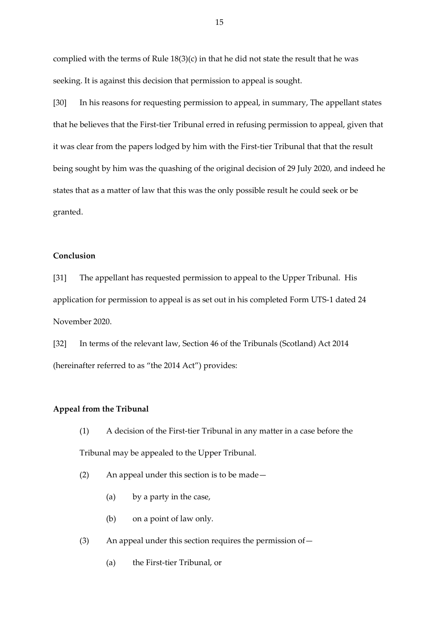complied with the terms of Rule 18(3)(c) in that he did not state the result that he was seeking. It is against this decision that permission to appeal is sought.

[30] In his reasons for requesting permission to appeal, in summary, The appellant states that he believes that the First-tier Tribunal erred in refusing permission to appeal, given that it was clear from the papers lodged by him with the First-tier Tribunal that that the result being sought by him was the quashing of the original decision of 29 July 2020, and indeed he states that as a matter of law that this was the only possible result he could seek or be granted.

### **Conclusion**

[31] The appellant has requested permission to appeal to the Upper Tribunal. His application for permission to appeal is as set out in his completed Form UTS-1 dated 24 November 2020.

[32] In terms of the relevant law, Section 46 of the Tribunals (Scotland) Act 2014 (hereinafter referred to as "the 2014 Act") provides:

#### **Appeal from the Tribunal**

- (1) A decision of the First-tier Tribunal in any matter in a case before the Tribunal may be appealed to the Upper Tribunal.
- (2) An appeal under this section is to be made—
	- (a) by a party in the case,
	- (b) on a point of law only.
- (3) An appeal under this section requires the permission of—
	- (a) the First-tier Tribunal, or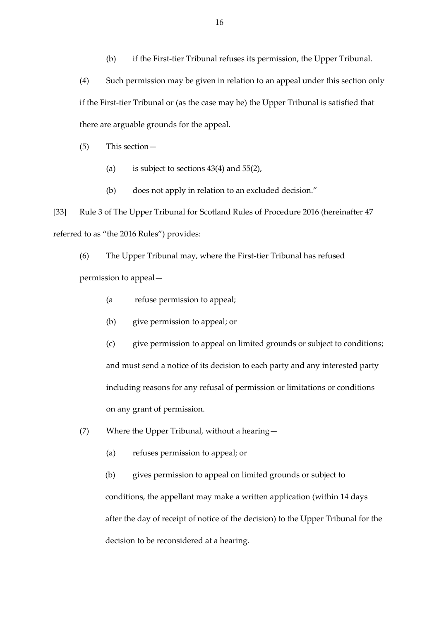(b) if the First-tier Tribunal refuses its permission, the Upper Tribunal.

(4) Such permission may be given in relation to an appeal under this section only if the First-tier Tribunal or (as the case may be) the Upper Tribunal is satisfied that there are arguable grounds for the appeal.

(5) This section—

- (a) is subject to sections  $43(4)$  and  $55(2)$ ,
- (b) does not apply in relation to an excluded decision."

[33] Rule 3 of The Upper Tribunal for Scotland Rules of Procedure 2016 (hereinafter 47 referred to as "the 2016 Rules") provides:

(6) The Upper Tribunal may, where the First-tier Tribunal has refused permission to appeal—

- (a refuse permission to appeal;
- (b) give permission to appeal; or

(c) give permission to appeal on limited grounds or subject to conditions; and must send a notice of its decision to each party and any interested party including reasons for any refusal of permission or limitations or conditions on any grant of permission.

(7) Where the Upper Tribunal, without a hearing—

(a) refuses permission to appeal; or

(b) gives permission to appeal on limited grounds or subject to conditions, the appellant may make a written application (within 14 days after the day of receipt of notice of the decision) to the Upper Tribunal for the decision to be reconsidered at a hearing.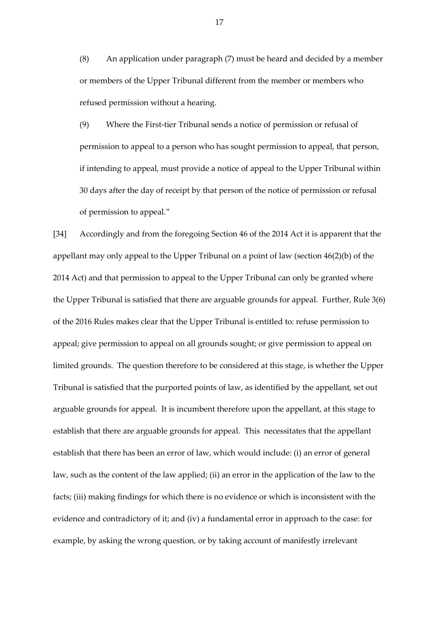(8) An application under paragraph (7) must be heard and decided by a member or members of the Upper Tribunal different from the member or members who refused permission without a hearing.

(9) Where the First-tier Tribunal sends a notice of permission or refusal of permission to appeal to a person who has sought permission to appeal, that person, if intending to appeal, must provide a notice of appeal to the Upper Tribunal within 30 days after the day of receipt by that person of the notice of permission or refusal of permission to appeal."

[34] Accordingly and from the foregoing Section 46 of the 2014 Act it is apparent that the appellant may only appeal to the Upper Tribunal on a point of law (section 46(2)(b) of the 2014 Act) and that permission to appeal to the Upper Tribunal can only be granted where the Upper Tribunal is satisfied that there are arguable grounds for appeal. Further, Rule 3(6) of the 2016 Rules makes clear that the Upper Tribunal is entitled to: refuse permission to appeal; give permission to appeal on all grounds sought; or give permission to appeal on limited grounds. The question therefore to be considered at this stage, is whether the Upper Tribunal is satisfied that the purported points of law, as identified by the appellant, set out arguable grounds for appeal. It is incumbent therefore upon the appellant, at this stage to establish that there are arguable grounds for appeal. This necessitates that the appellant establish that there has been an error of law, which would include: (i) an error of general law, such as the content of the law applied; (ii) an error in the application of the law to the facts; (iii) making findings for which there is no evidence or which is inconsistent with the evidence and contradictory of it; and (iv) a fundamental error in approach to the case: for example, by asking the wrong question, or by taking account of manifestly irrelevant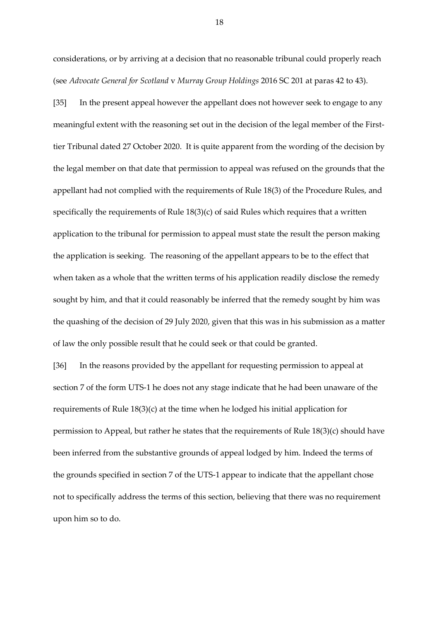considerations, or by arriving at a decision that no reasonable tribunal could properly reach (see *Advocate General for Scotland* v *Murray Group Holdings* 2016 SC 201 at paras 42 to 43).

[35] In the present appeal however the appellant does not however seek to engage to any meaningful extent with the reasoning set out in the decision of the legal member of the Firsttier Tribunal dated 27 October 2020. It is quite apparent from the wording of the decision by the legal member on that date that permission to appeal was refused on the grounds that the appellant had not complied with the requirements of Rule 18(3) of the Procedure Rules, and specifically the requirements of Rule 18(3)(c) of said Rules which requires that a written application to the tribunal for permission to appeal must state the result the person making the application is seeking. The reasoning of the appellant appears to be to the effect that when taken as a whole that the written terms of his application readily disclose the remedy sought by him, and that it could reasonably be inferred that the remedy sought by him was the quashing of the decision of 29 July 2020, given that this was in his submission as a matter of law the only possible result that he could seek or that could be granted.

[36] In the reasons provided by the appellant for requesting permission to appeal at section 7 of the form UTS-1 he does not any stage indicate that he had been unaware of the requirements of Rule 18(3)(c) at the time when he lodged his initial application for permission to Appeal, but rather he states that the requirements of Rule 18(3)(c) should have been inferred from the substantive grounds of appeal lodged by him. Indeed the terms of the grounds specified in section 7 of the UTS-1 appear to indicate that the appellant chose not to specifically address the terms of this section, believing that there was no requirement upon him so to do.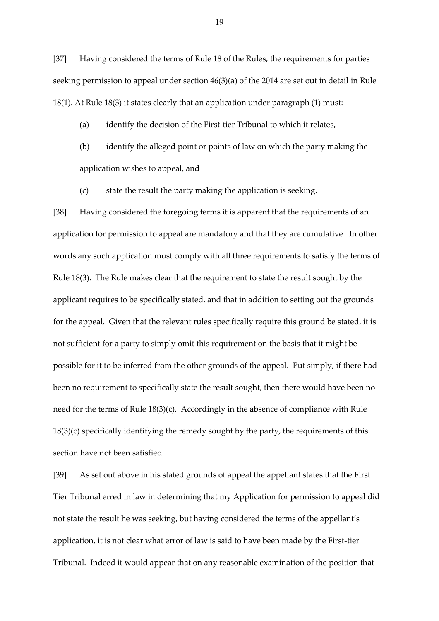[37] Having considered the terms of Rule 18 of the Rules, the requirements for parties seeking permission to appeal under section 46(3)(a) of the 2014 are set out in detail in Rule 18(1). At Rule 18(3) it states clearly that an application under paragraph (1) must:

#### (a) identify the decision of the First-tier Tribunal to which it relates,

- (b) identify the alleged point or points of law on which the party making the application wishes to appeal, and
- (c) state the result the party making the application is seeking.

[38] Having considered the foregoing terms it is apparent that the requirements of an application for permission to appeal are mandatory and that they are cumulative. In other words any such application must comply with all three requirements to satisfy the terms of Rule 18(3). The Rule makes clear that the requirement to state the result sought by the applicant requires to be specifically stated, and that in addition to setting out the grounds for the appeal. Given that the relevant rules specifically require this ground be stated, it is not sufficient for a party to simply omit this requirement on the basis that it might be possible for it to be inferred from the other grounds of the appeal. Put simply, if there had been no requirement to specifically state the result sought, then there would have been no need for the terms of Rule 18(3)(c). Accordingly in the absence of compliance with Rule 18(3)(c) specifically identifying the remedy sought by the party, the requirements of this section have not been satisfied.

[39] As set out above in his stated grounds of appeal the appellant states that the First Tier Tribunal erred in law in determining that my Application for permission to appeal did not state the result he was seeking, but having considered the terms of the appellant's application, it is not clear what error of law is said to have been made by the First-tier Tribunal. Indeed it would appear that on any reasonable examination of the position that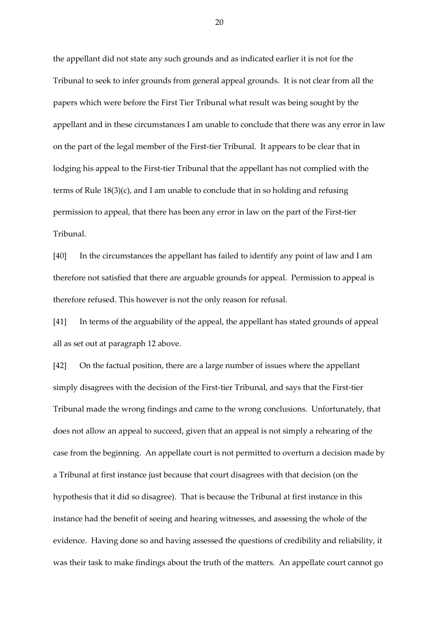the appellant did not state any such grounds and as indicated earlier it is not for the Tribunal to seek to infer grounds from general appeal grounds. It is not clear from all the papers which were before the First Tier Tribunal what result was being sought by the appellant and in these circumstances I am unable to conclude that there was any error in law on the part of the legal member of the First-tier Tribunal. It appears to be clear that in lodging his appeal to the First-tier Tribunal that the appellant has not complied with the terms of Rule 18(3)(c), and I am unable to conclude that in so holding and refusing permission to appeal, that there has been any error in law on the part of the First-tier Tribunal.

[40] In the circumstances the appellant has failed to identify any point of law and I am therefore not satisfied that there are arguable grounds for appeal. Permission to appeal is therefore refused. This however is not the only reason for refusal.

[41] In terms of the arguability of the appeal, the appellant has stated grounds of appeal all as set out at paragraph 12 above.

[42] On the factual position, there are a large number of issues where the appellant simply disagrees with the decision of the First-tier Tribunal, and says that the First-tier Tribunal made the wrong findings and came to the wrong conclusions. Unfortunately, that does not allow an appeal to succeed, given that an appeal is not simply a rehearing of the case from the beginning. An appellate court is not permitted to overturn a decision made by a Tribunal at first instance just because that court disagrees with that decision (on the hypothesis that it did so disagree). That is because the Tribunal at first instance in this instance had the benefit of seeing and hearing witnesses, and assessing the whole of the evidence. Having done so and having assessed the questions of credibility and reliability, it was their task to make findings about the truth of the matters. An appellate court cannot go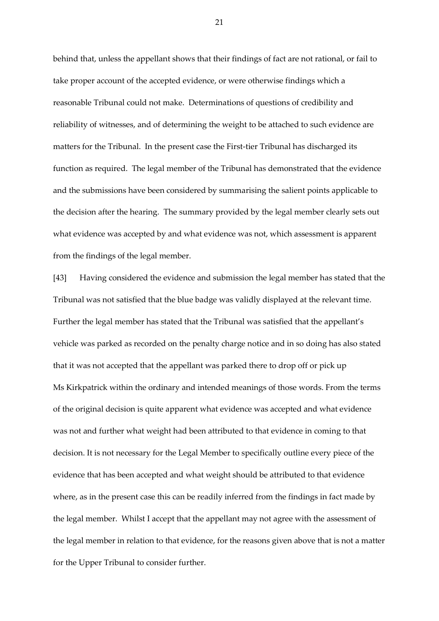behind that, unless the appellant shows that their findings of fact are not rational, or fail to take proper account of the accepted evidence, or were otherwise findings which a reasonable Tribunal could not make. Determinations of questions of credibility and reliability of witnesses, and of determining the weight to be attached to such evidence are matters for the Tribunal. In the present case the First-tier Tribunal has discharged its function as required. The legal member of the Tribunal has demonstrated that the evidence and the submissions have been considered by summarising the salient points applicable to the decision after the hearing. The summary provided by the legal member clearly sets out what evidence was accepted by and what evidence was not, which assessment is apparent from the findings of the legal member.

[43] Having considered the evidence and submission the legal member has stated that the Tribunal was not satisfied that the blue badge was validly displayed at the relevant time. Further the legal member has stated that the Tribunal was satisfied that the appellant's vehicle was parked as recorded on the penalty charge notice and in so doing has also stated that it was not accepted that the appellant was parked there to drop off or pick up Ms Kirkpatrick within the ordinary and intended meanings of those words. From the terms of the original decision is quite apparent what evidence was accepted and what evidence was not and further what weight had been attributed to that evidence in coming to that decision. It is not necessary for the Legal Member to specifically outline every piece of the evidence that has been accepted and what weight should be attributed to that evidence where, as in the present case this can be readily inferred from the findings in fact made by the legal member. Whilst I accept that the appellant may not agree with the assessment of the legal member in relation to that evidence, for the reasons given above that is not a matter for the Upper Tribunal to consider further.